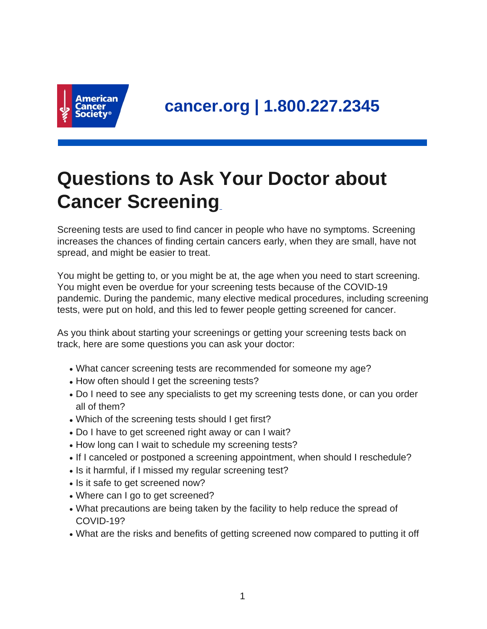

## **Questions to Ask Your Doctor about Cancer Screening**

Screening tests are used to find cancer in people who have no symptoms. Screening increases the chances of finding certain cancers early, when they are small, have not spread, and might be easier to treat.

You might be getting to, or you might be at, the age when you need to start screening. You might even be overdue for your screening tests because of the COVID-19 pandemic. During the pandemic, many elective medical procedures, including screening tests, were put on hold, and this led to fewer people getting screened for cancer.

As you think about starting your screenings or getting your screening tests back on track, here are some questions you can ask your doctor:

- What cancer screening tests are recommended for someone my age?
- How often should I get the screening tests?
- Do I need to see any specialists to get my screening tests done, or can you order all of them?
- Which of the screening tests should I get first?
- Do I have to get screened right away or can I wait?
- How long can I wait to schedule my screening tests?
- If I canceled or postponed a screening appointment, when should I reschedule?
- Is it harmful, if I missed my regular screening test?
- Is it safe to get screened now?
- Where can I go to get screened?
- What precautions are being taken by the facility to help reduce the spread of COVID-19?
- What are the risks and benefits of getting screened now compared to putting it off